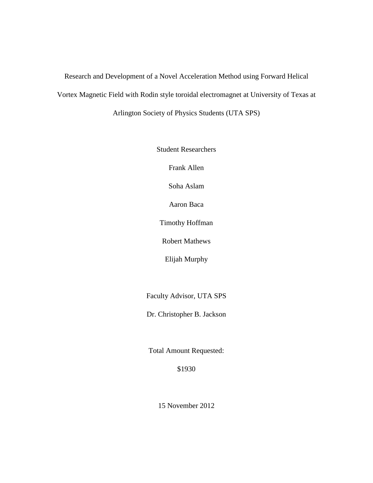Research and Development of a Novel Acceleration Method using Forward Helical Vortex Magnetic Field with Rodin style toroidal electromagnet at University of Texas at Arlington Society of Physics Students (UTA SPS)

Student Researchers

Frank Allen

Soha Aslam

Aaron Baca

Timothy Hoffman

Robert Mathews

Elijah Murphy

Faculty Advisor, UTA SPS

Dr. Christopher B. Jackson

Total Amount Requested:

\$1930

15 November 2012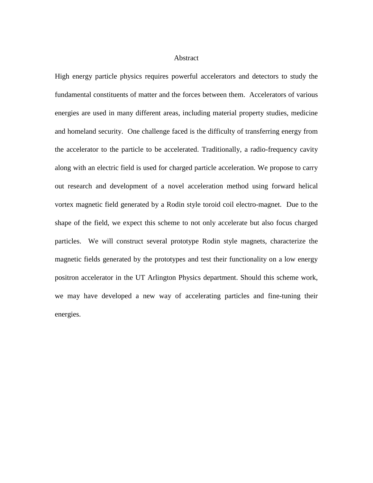## Abstract

High energy particle physics requires powerful accelerators and detectors to study the fundamental constituents of matter and the forces between them. Accelerators of various energies are used in many different areas, including material property studies, medicine and homeland security. One challenge faced is the difficulty of transferring energy from the accelerator to the particle to be accelerated. Traditionally, a radio-frequency cavity along with an electric field is used for charged particle acceleration. We propose to carry out research and development of a novel acceleration method using forward helical vortex magnetic field generated by a Rodin style toroid coil electro-magnet. Due to the shape of the field, we expect this scheme to not only accelerate but also focus charged particles. We will construct several prototype Rodin style magnets, characterize the magnetic fields generated by the prototypes and test their functionality on a low energy positron accelerator in the UT Arlington Physics department. Should this scheme work, we may have developed a new way of accelerating particles and fine-tuning their energies.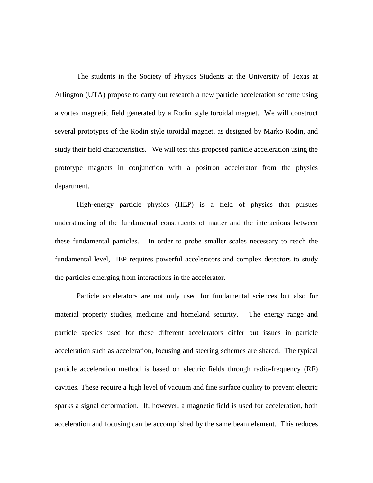The students in the Society of Physics Students at the University of Texas at Arlington (UTA) propose to carry out research a new particle acceleration scheme using a vortex magnetic field generated by a Rodin style toroidal magnet. We will construct several prototypes of the Rodin style toroidal magnet, as designed by Marko Rodin, and study their field characteristics. We will test this proposed particle acceleration using the prototype magnets in conjunction with a positron accelerator from the physics department.

High-energy particle physics (HEP) is a field of physics that pursues understanding of the fundamental constituents of matter and the interactions between these fundamental particles. In order to probe smaller scales necessary to reach the fundamental level, HEP requires powerful accelerators and complex detectors to study the particles emerging from interactions in the accelerator.

Particle accelerators are not only used for fundamental sciences but also for material property studies, medicine and homeland security. The energy range and particle species used for these different accelerators differ but issues in particle acceleration such as acceleration, focusing and steering schemes are shared. The typical particle acceleration method is based on electric fields through radio-frequency (RF) cavities. These require a high level of vacuum and fine surface quality to prevent electric sparks a signal deformation. If, however, a magnetic field is used for acceleration, both acceleration and focusing can be accomplished by the same beam element. This reduces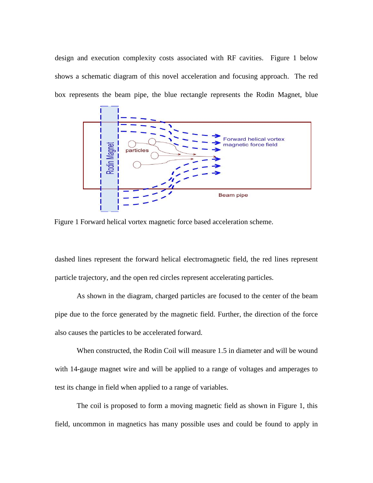design and execution complexity costs associated with RF cavities. Figure 1 below shows a schematic diagram of this novel acceleration and focusing approach. The red box represents the beam pipe, the blue rectangle represents the Rodin Magnet, blue



Figure 1 Forward helical vortex magnetic force based acceleration scheme.

dashed lines represent the forward helical electromagnetic field, the red lines represent particle trajectory, and the open red circles represent accelerating particles.

As shown in the diagram, charged particles are focused to the center of the beam pipe due to the force generated by the magnetic field. Further, the direction of the force also causes the particles to be accelerated forward.

When constructed, the Rodin Coil will measure 1.5 in diameter and will be wound with 14-gauge magnet wire and will be applied to a range of voltages and amperages to test its change in field when applied to a range of variables.

The coil is proposed to form a moving magnetic field as shown in Figure 1, this field, uncommon in magnetics has many possible uses and could be found to apply in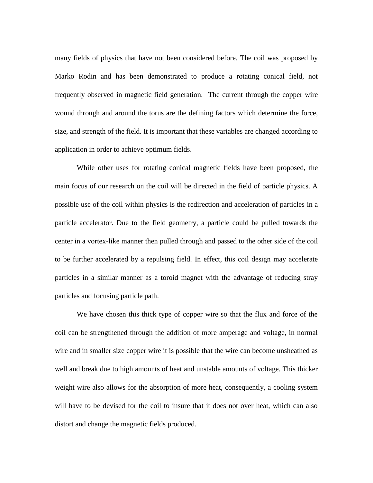many fields of physics that have not been considered before. The coil was proposed by Marko Rodin and has been demonstrated to produce a rotating conical field, not frequently observed in magnetic field generation. The current through the copper wire wound through and around the torus are the defining factors which determine the force, size, and strength of the field. It is important that these variables are changed according to application in order to achieve optimum fields.

While other uses for rotating conical magnetic fields have been proposed, the main focus of our research on the coil will be directed in the field of particle physics. A possible use of the coil within physics is the redirection and acceleration of particles in a particle accelerator. Due to the field geometry, a particle could be pulled towards the center in a vortex-like manner then pulled through and passed to the other side of the coil to be further accelerated by a repulsing field. In effect, this coil design may accelerate particles in a similar manner as a toroid magnet with the advantage of reducing stray particles and focusing particle path.

We have chosen this thick type of copper wire so that the flux and force of the coil can be strengthened through the addition of more amperage and voltage, in normal wire and in smaller size copper wire it is possible that the wire can become unsheathed as well and break due to high amounts of heat and unstable amounts of voltage. This thicker weight wire also allows for the absorption of more heat, consequently, a cooling system will have to be devised for the coil to insure that it does not over heat, which can also distort and change the magnetic fields produced.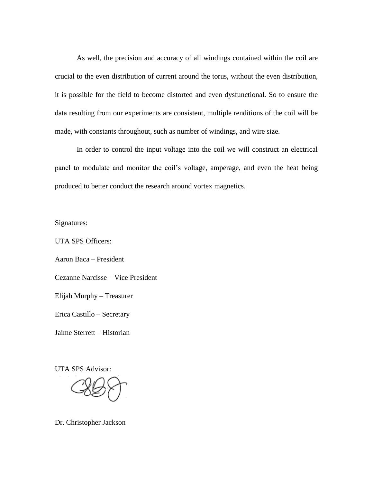As well, the precision and accuracy of all windings contained within the coil are crucial to the even distribution of current around the torus, without the even distribution, it is possible for the field to become distorted and even dysfunctional. So to ensure the data resulting from our experiments are consistent, multiple renditions of the coil will be made, with constants throughout, such as number of windings, and wire size.

In order to control the input voltage into the coil we will construct an electrical panel to modulate and monitor the coil's voltage, amperage, and even the heat being produced to better conduct the research around vortex magnetics.

Signatures:

UTA SPS Officers:

Aaron Baca – President

Cezanne Narcisse – Vice President

Elijah Murphy – Treasurer

Erica Castillo – Secretary

Jaime Sterrett – Historian

UTA SPS Advisor:

Dr. Christopher Jackson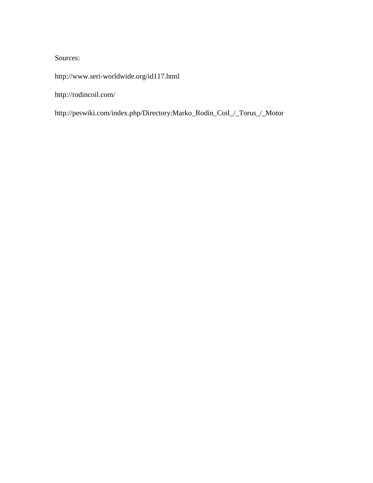## Sources:

<http://www.seri-worldwide.org/id117.html>

http://rodincoil.com/

http://peswiki.com/index.php/Directory:Marko\_Rodin\_Coil\_/\_Torus\_/\_Motor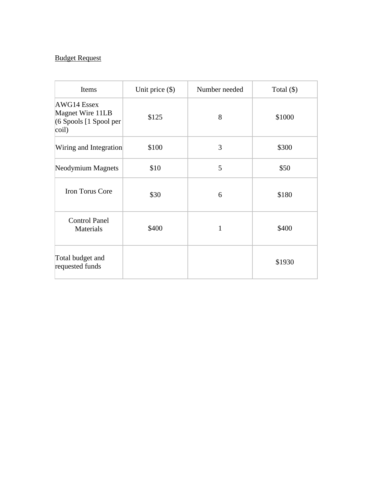## Budget Request

| Items                                                                  | Unit price $(\$)$ | Number needed | Total $(\$)$ |
|------------------------------------------------------------------------|-------------------|---------------|--------------|
| AWG14 Essex<br>Magnet Wire 11LB<br>$(6$ Spools $[1$ Spool per<br>coil) | \$125             | 8             | \$1000       |
| Wiring and Integration                                                 | \$100             | 3             | \$300        |
| Neodymium Magnets                                                      | \$10              | 5             | \$50         |
| <b>Iron Torus Core</b>                                                 | \$30              | 6             | \$180        |
| <b>Control Panel</b><br>Materials                                      | \$400             | 1             | \$400        |
| Total budget and<br>requested funds                                    |                   |               | \$1930       |